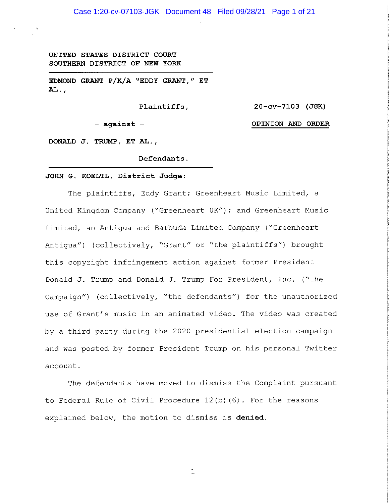**UNITED STATES DISTRICT COURT SOUTHERN DISTRICT OF NEW YORK** 

**EDMOND GRANT P/K/A "EDDY GRANT," ET AL.,** 

**Plaintiffs,** 

**20-cv-7103 (JGK)** 

- **against** 

**OPINION AND ORDER** 

**DONALD J. TRUMP, ET AL.,** 

**Defendants.** 

#### **JOHN G. KOELTL, District Judge:**

The plaintiffs, Eddy Grant; Greenheart Music Limited, a United Kingdom Company ("Greenheart UK"); and Greenheart Music Limited, an Antigua and Barbuda Limited Company ("Greenheart Antigua") (collectively, "Grant" or "the plaintiffs") brought this copyright infringement action against former President Donald J. Trump and Donald J. Trump For President, Inc. ("the Campaign") (collectively, "the defendants") for the unauthorized use of Grant's music in an animated video. The video was created by a third party during the 2020 presidential election campaign and was posted by former President Trump on his personal Twitter account.

The defendants have moved to dismiss the Complaint pursuant to Federal Rule of Civil Procedure 12(b) (6). For the reasons explained below, the motion to dismiss is **denied.**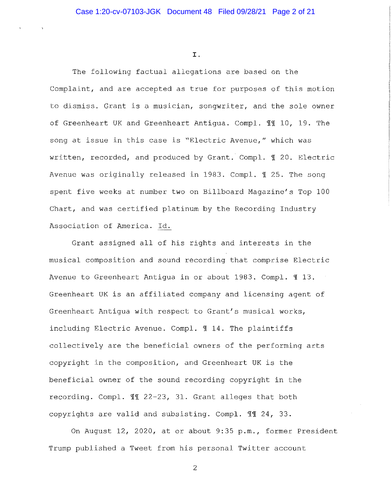#### I.

The following factual allegations are based on the Complaint, and are accepted as true for purposes of this motion to dismiss. Grant is a musician, songwriter, and the sole owner of Greenheart UK and Greenheart Antigua. Compl. 11 10, 19. The song at issue in this case is "Electric Avenue," which was written, recorded, and produced by Grant. Compl. 1 20. Electric Avenue was originally released in 1983. Compl. 1 25. The song spent five weeks at number two on Billboard Magazine's Top 100 Chart, and was certified platinum by the Recording Industry Association of America. Id.

Grant assigned all of his rights and interests in the musical composition and sound recording that comprise Electric Avenue to Greenheart Antiqua in or about 1983. Compl.  $\text{\textsterling}$  13. Greenheart UK is an affiliated company and licensing agent of Greenheart Antigua with respect to Grant's musical works, including Electric Avenue. Compl. 114. The plaintiffs collectively are the beneficial owners of the performing arts copyright in the composition, and Greenheart UK is the beneficial owner of the sound recording copyright in the recording. Compl. II 22-23, 31. Grant alleges that both copyrights are valid and subsisting. Compl. II 24, 33.

On August 12, 2020, at or about 9:35 p.m., former President Trump published a Tweet from his personal Twitter account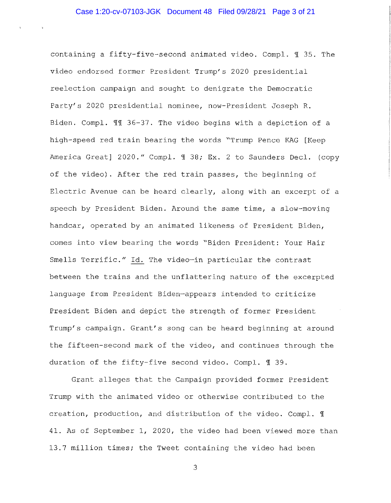containing a fifty-five-second animated video. Compl. ¶ 35. The video endorsed former President Trump's 2020 presidential reelection campaign and sought to denigrate the Democratic Party's 2020 presidential nominee, now-President Joseph R. Eiden. Compl. 11 36-37. The video begins with a depiction of a high-speed red train bearing the words "Trump Pence KAG [Keep America Great] 2020." Compl. 1 38; Ex. 2 to Saunders Decl. (copy of the video). After the red train passes, the beginning of Electric Avenue can be heard clearly, along with an excerpt of a speech by President Eiden. Around the same time, a slow-moving handcar, operated by an animated likeness of President Biden, comes into view bearing the words "Eiden President: Your Hair Smells Terrific." Id. The video-in particular the contrast between the trains and the unflattering nature of the excerpted language from President Eiden~appears intended to criticize President Eiden and depict the strength of former President Trump's campaign. Grant's song can be heard beginning at around the fifteen-second mark of the video, and continues through the duration of the fifty-five second video. Compl. 1 39.

Grant alleges that the Campaign provided former President Trump with the animated video or otherwise contributed to the creation, production, and distribution of the video. Compl.  $\mathbb I$ 41. As of September 1, 2020, the video had been viewed more than 13.7 million times; the Tweet containing the video had been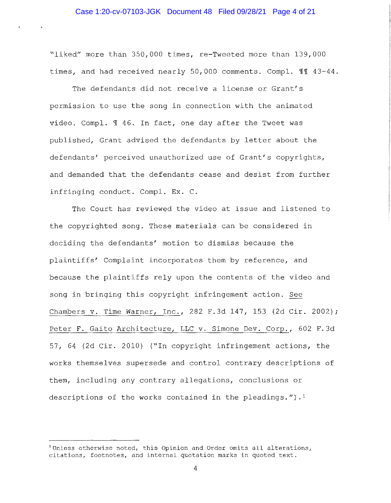"liked" more than 350,000 times, re-Tweeted more than 139,000 times, and had received nearly 50,000 comments. Compl. II 43-44.

The defendants did not receive a license or Grant's permission to use the song in connection with the animated video. Compl. 1 46. In fact, one day after the Tweet was published, Grant advised the defendants by letter about the defendants' perceived unauthorized use of Grant's copyrights, and demanded that the defendants cease and desist from further infringing conduct. Compl. Ex. C.

The Court has reviewed the video at issue and listened to the copyrighted song. These materials can be considered in deciding the defendants' motion to dismiss because the plaintiffs' Complaint incorporates them by reference, and because the plaintiffs rely upon the contents of the video and song in bringing this copyright infringement action. See Chambers v. Time Warner, Inc., 282 F.3d 147, 153 (2d Cir. 2002); Peter F. Gaito Architecture, LLC v. Simone Dev. Corp., 602 F.3d 57, 64 (2d Cir. 2010) ("In copyright infringement actions, the works themselves supersede and control contrary descriptions of them, including any contrary allegations, conclusions or descriptions of the works contained in the pleadings.").<sup>1</sup>

**<sup>1</sup> Unless otherwise noted, this Opinion and Order omits all alterations, citations, footnotes, and internal quotation marks in quoted text.**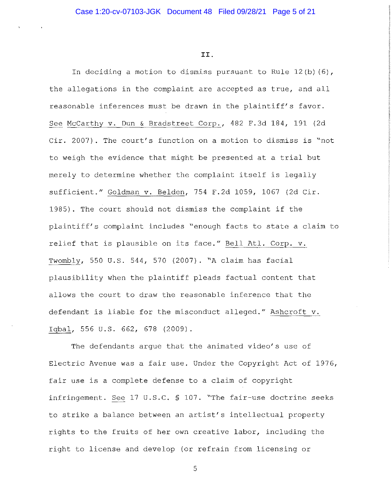II.

In deciding a motion to dismiss pursuant to Rule 12(b) (6), the allegations in the complaint are accepted as true, and all reasonable inferences must be drawn in the plaintiff's favor. See McCarthy v. Dun & Bradstreet Corp., 482 F.3d 184, 191 (2d Cir. 2007). The court's function on a motion to dismiss is "not to weigh the evidence that might be presented at a trial but merely to determine whether the complaint itself is legally sufficient." Goldman v. Belden, 754 F.2d 1059, 1067 (2d Cir. 1985). The court should not dismiss the complaint if the plaintiff's complaint includes "enough facts to state a claim to relief that is plausible on its face." Bell Atl. Corp. v. Twombly, 550 U.S. 544, 570 (2007). "A claim has facial plausibility when the plaintiff pleads factual content that allows the court to draw the reasonable inference that the defendant is liable for the misconduct alleged." Ashcroft v. Iqbal, 556 U.S. 662, 678 (2009).

The defendants argue that the animated video's use of Electric Avenue was a fair use. Under the Copyright Act of 1976, fair use is a complete defense to a claim of copyright infringement. See 17 U.S.C. § 107. "The fair-use doctrine seeks to strike a balance between an artist's intellectual property rights to the fruits of her own creative labor, including the right to license and develop (or refrain from licensing or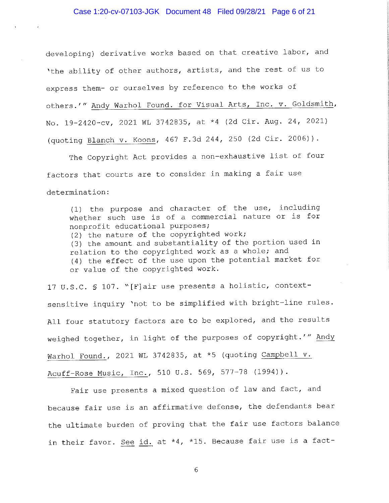# Case 1:20-cv-07103-JGK Document 48 Filed 09/28/21 Page 6 of 21

developing) derivative works based on that creative labor, and 'the ability of other authors, artists, and the rest of us to express them- or ourselves by reference to the works of others.'" Andy Warhol Found. for Visual Arts, Inc. v. Goldsmith, No. 19-2420-cv, 2021 WL 3742835, at \*4 (2d Cir. Aug. 24, 2021) (quoting Blanch v. Koons, 467 F.3d 244, 250 (2d Cir. 2006)).

The Copyright Act provides a non-exhaustive list of four factors that courts are to consider in making a fair use determination:

(1) the purpose and character of the use, including whether such use is of a commercial nature or is for nonprofit educational purposes; (2) the nature of the copyrighted work; (3) the amount and substantiality of the portion used in relation to the copyrighted work as a whole; and (4) the effect of the use upon the potential market for or value of the copyrighted work.

17 U.S.C. § 107. "[F]air use presents a holistic, contextsensitive inquiry 'not to be simplified with bright-line rules. All four statutory factors are to be explored, and the results weighed together, in light of the purposes of copyright.'" Andy Warhol Found., 2021 WL 3742835, at \*5 (quoting Campbell v. Acuff-Rose Music, Inc., 510 U.S. 569, 577-78 (1994)).

Fair use presents a mixed question of law and fact, and because fair use is an affirmative defense, the defendants bear the ultimate burden of proving that the fair use factors balance in their favor. See id. at \*4, \*15. Because fair use is a fact-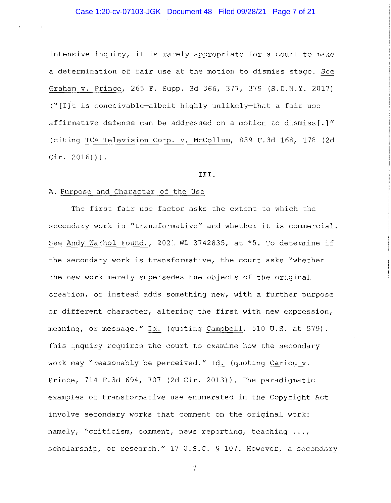intensive inquiry, it is rarely appropriate for a court to make a determination of fair use at the motion to dismiss stage. See Graham v. Prince, 265 F. Supp. 3d 366, 377, 379 (S.D.N.Y. 2017) ("[I]t is conceivable-albeit highly unlikely-that a fair use affirmative defense can be addressed on a motion to dismiss(.]" (citing TCA Television Corp. v. Mccollum, 839 F.3d 168, 178 (2d Cir. 2016))).

#### **III.**

#### A. Purpose and Character of the Use

The first fair use factor asks the extent to which the secondary work is "transformative" and whether it is commercial. See Andy Warhol Found., 2021 WL 3742835, at \*5. To determine if the secondary work is transformative, the court asks "whether the new work merely supersedes the objects of the original creation, or instead adds something new, with a further purpose or different character, altering the first with new expression, meaning, or message." Id. (quoting Campbell, 510 U.S. at 579). This inquiry requires the court to examine how the secondary work may "reasonably be perceived." Id. (quoting Cariou v. Prince, 714 F.3d 694, 707 (2d Cir. 2013)). The paradigmatic examples of transformative use enumerated in the Copyright Act involve secondary works that comment on the original work: namely, "criticism, comment, news reporting, teaching ..., scholarship, or research." 17 U.S.C. § 107. However, a secondary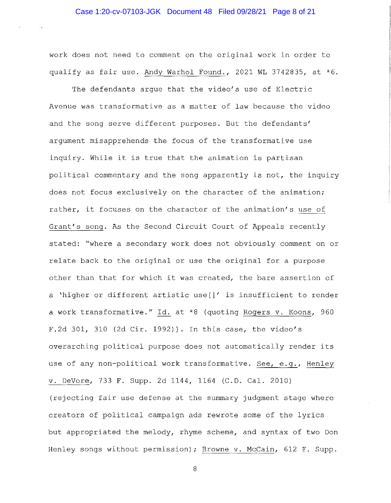work does not need to comment on the original work in order to qualify as fair use. Andy Warhol Found., 2021 WL 3742835, at \*6.

The defendants argue that the video's use of Electric Avenue was transformative as a matter of law because the video and the song serve different purposes. But the defendants' argument misapprehends the focus of the transformative use inquiry. While it is true that the animation is partisan political commentary and the song apparently is not, the inquiry does not focus exclusively on the character of the animation; rather, it focuses on the character of the animation's use of Grant's song. As the Second Circuit Court of Appeals recently stated: "where a secondary work does not obviously comment on or relate back to the original or use the original for a purpose other than that for which it was created, the bare assertion of a 'higher or different artistic use[]' is insufficient to render a work transformative." Id. at \*8 (quoting Rogers v. Koons, 960 F.2d 301, 310 (2d Cir. 1992)). In this case, the video's overarching political purpose does not automatically render its use of any non-political work transformative. See, e.g., Henley v. DeVore, 733 F. Supp. 2d 1144, 1164 (C.D. Cal. 2010) (rejecting fair use defense at the summary judgment stage where creators of political campaign ads rewrote some of the lyrics but appropriated the melody, rhyme scheme, and syntax of two Don Henley songs without permission); Browne v. McCain, 612 F. Supp.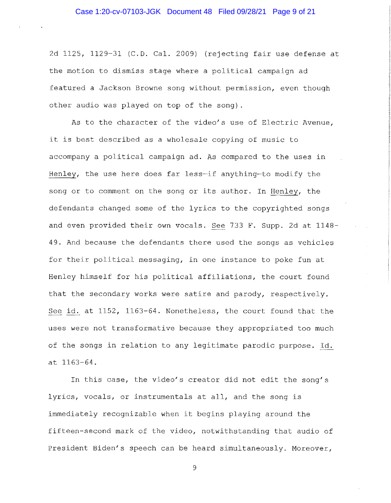2d 1125, 1129-31 (C.D. Cal. 2009) (rejecting fair use defense at the motion to dismiss stage where a political campaign ad featured a Jackson Browne song without permission, even though other audio was played on top of the song).

As to the character of the video's use of Electric Avenue, it is best described as a wholesale copying of music to accompany a political campaign ad. As compared to the uses in Henley, the use here does far less-if anything-to modify the song or to comment on the song or its author. In Henley, the defendants changed some of the lyrics to the copyrighted songs and even provided their own vocals. See 733 F. Supp. 2d at 1148- 49. And because the defendants there used the songs as vehicles for their political messaging, in one instance to poke fun at Henley himself for his political affiliations, the court found that the secondary works were satire and parody, respectively. See id. at 1152, 1163-64. Nonetheless, the court found that the uses were not transformative because they appropriated too much of the songs in relation to any legitimate parodic purpose. Id. at 1163-64.

In this case, the video's creator did not edit the song's lyrics, vocals, or instrumentals at all, and the song is immediately recognizable when it begins playing around the fifteen-second mark of the video, notwithstanding that audio of President Biden's speech can be heard simultaneously. Moreover,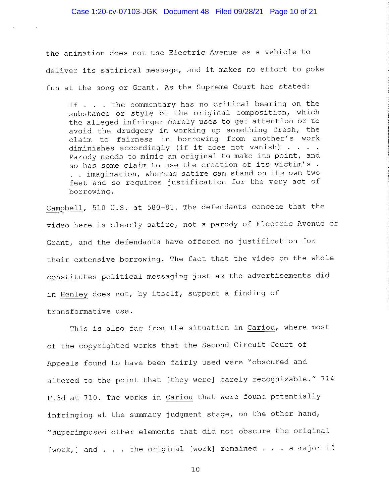the animation does not use Electric Avenue as a vehicle to deliver its satirical message, and it makes no effort to poke fun at the song or Grant. As the Supreme Court has stated:

If . . the commentary has no critical bearing on the substance or style of the original composition, which the alleged infringer merely uses to get attention or to avoid the drudgery in working up something fresh, the claim to fairness in borrowing from another's work diminishes accordingly (if it does not vanish) Parody needs to mimic an original to make its point, and so has some claim to use the creation of its victim's . . . imagination, whereas satire can stand on its own two feet and so requires justification for the very act of borrowing.

Campbell, 510 U.S. at 580-81. The defendants concede that the video here is clearly satire, not a parody of Electric Avenue or Grant, and the defendants have offered no justification for their extensive borrowing. The fact that the video on the whole constitutes political messaging-just as the advertisements did in Henley-does not, by itself, support a finding of transformative use.

This is also far from the situation in Cariou, where most of the copyrighted works that the Second Circuit Court of Appeals found to have been fairly used were "obscured and altered to the point that [they were] barely recognizable." 714 F.3d at 710. The works in Cariou that were found potentially infringing at the summary judgment stage, on the other hand, ~superimposed other elements that did not obscure the original [work,] and . . the original [work] remained . . a major if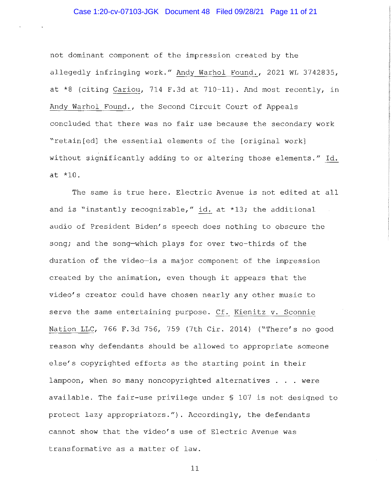## Case 1:20-cv-07103-JGK Document 48 Filed 09/28/21 Page 11 of 21

not dominant component of the impression created by the allegedly infringing work." Andy Warhol Found., 2021 WL 3742835, at \*8 (citing Cariou, 714 F.3d at 710-11). And most recently, in Andy Warhol Found., the Second Circuit Court of Appeals concluded that there was no fair use because the secondary work "retain[ed] the essential elements of the [original work] without significantly adding to or altering those elements." Id. at \*10.

The same is true here. Electric Avenue is not edited at all and is "instantly recognizable," id. at \*13; the additional audio of President Biden's speech does nothing to obscure the song; and the song-which plays for over two-thirds of the duration of the video-is a major component of the impression created by the animation, even though it appears that the video's creator could have chosen nearly any other music to serve the same entertaining purpose. Cf. Kienitz v. Sconnie Nation LLC, 766 F.3d 756, 759 (7th Cir. 2014) ("There's no good reason why defendants should be allowed to appropriate someone else's copyrighted efforts as the starting point in their lampoon, when so many noncopyrighted alternatives . . were available. The fair-use privilege under§ 107 is not designed to protect lazy appropriators."). Accordingly, the defendants cannot show that the video's use of Electric Avenue was transformative as a matter of law.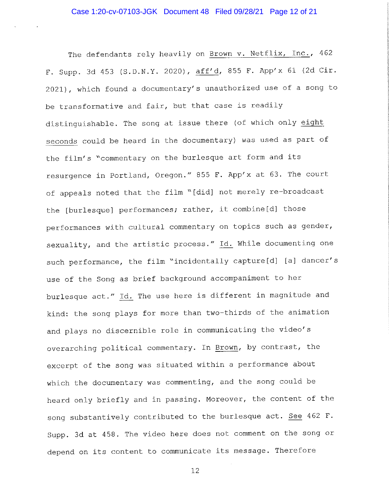The defendants rely heavily on Brown v. Netflix, Inc., 462 F. Supp. 3d 453 (S.D.N.Y. 2020), aff'd, 855 F. App'x 61 (2d Cir. 2021), which found a documentary's unauthorized use of a song to be transformative and fair, but that case is readily distinguishable. The song at issue there (of which only eight seconds could be heard in the documentary) was used as part of the film's "commentary on the burlesque art form and its resurgence in Portland, Oregon." 855 F. App'x at 63. The court of appeals noted that the film "[did] not merely re-broadcast the [burlesque] performances; rather, it combine[d] those performances with cultural commentary on topics such as gender, sexuality, and the artistic process." Id. While documenting one such performance, the film "incidentally capture[d] [a] dancer's use of the Song as brief background accompaniment to her burlesque act." Id. The use here is different in magnitude and kind: the song plays for more than two-thirds of the animation and plays no discernible role in communicating the video's overarching political commentary. In Brown, by contrast, the excerpt of the song was situated within a performance about which the documentary was commenting, and the song could be heard only briefly and in passing. Moreover, the content of the song substantively contributed to the burlesque act. See 462 F. Supp. 3d at 458. The video here does not comment on the song or depend on its content to communicate its message. Therefore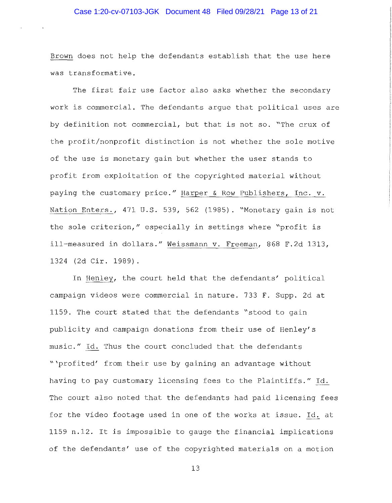## Case 1:20-cv-07103-JGK Document 48 Filed 09/28/21 Page 13 of 21

Brown does not help the defendants establish that the use here was transformative.

The first fair use factor also asks whether the secondary work is commercial. The defendants argue that political uses are by definition not commercial, but that is not so. "The crux of the profit/nonprofit distinction is not whether the sole motive of the use is monetary gain but whether the user stands to profit from exploitation of the copyrighted material without paying the customary price." Harper & Row Publishers, Inc. v. Nation Enters., 471 U.S. 539, 562 (1985). "Monetary gain is not the sole criterion," especially in settings where "profit is ill-measured in dollars." Weissmann v. Freeman, 868 F.2d 1313, 1324 (2d Cir. 1989).

In Henley, the court held that the defendants' political campaign videos were commercial in nature. 733 F. Supp. 2d at 1159. The court stated that the defendants "stood to gain publicity and campaign donations from their use of Henley's music." Id. Thus the court concluded that the defendants "'profited' from their use by gaining an advantage without having to pay customary licensing fees to the Plaintiffs." Id. The court also noted that the defendants had paid licensing fees for the video footage used in one of the works at issue. Id. at 1159 n.12. It is impossible to gauge the financial implications of the defendants' use of the copyrighted materials on a motion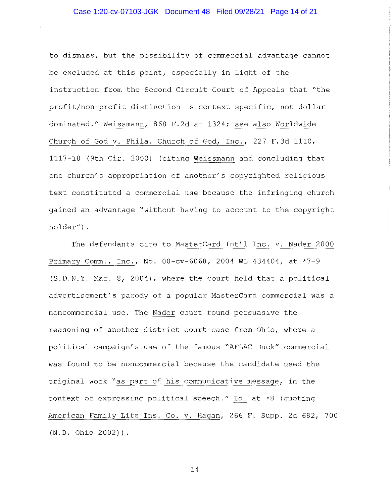to dismiss, but the possibility of commercial advantage cannot be excluded at this point, especially in light of the instruction from the Second Circuit Court of Appeals that "the profit/non-profit distinction is context specific, not dollar dominated." Weissmann, 868 F.2d at 1324; see also Worldwide Church of God v. Phila. Church of God, Inc., 227 F.3d 1110, 1117-18 (9th Cir. 2000) (citing Weissmann and concluding that one church's appropriation of another's copyrighted religious text constituted a commercial use because the infringing church gained an advantage "without having to account to the copyright holder") .

The defendants cite to MasterCard Int'l Inc. v. Nader 2000 Primary Comm., Inc., No. 00-cv-6068, 2004 WL 434404, at \*7-9 (S.D.N.Y. Mar. 8, 2004), where the court held that a political advertisement's parody of a popular MasterCard commercial was a noncommercial use. The Nader court found persuasive the reasoning of another district court case from Ohio, where a political campaign's use of the famous "AFLAC Duck" commercial was found to be noncommercial because the candidate used the original work "as part of his communicative message, in the context of expressing political speech." Id. at \*8 (quoting American Family Life Ins. Co. v. Hagan, 266 F. Supp. 2d 682, 700 (N.D. Ohio 2002)).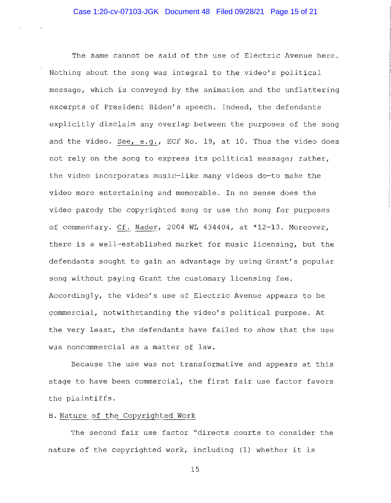The same cannot be said of the use of Electric Avenue here. Nothing about the song was integral to the video's political message, which is conveyed by the animation and the unflattering excerpts of President Biden's speech. Indeed, the defendants explicitly disclaim any overlap between the purposes of the song and the video. See, e.g., ECF No. 19, at 10. Thus the video does not rely on the song to express its political message; rather, the video incorporates music-like many videos do-to make the video more entertaining and memorable. In no sense does the video parody the copyrighted song or use the song for purposes of commentary. Cf. Nader, 2004 WL 434404, at \*12-13. Moreover, there is a well-established market for music licensing, but the defendants sought to gain an advantage by using Grant's popular song without paying Grant the customary licensing fee. Accordingly, the video's use of Electric Avenue appears to be commercial, notwithstanding the video's political purpose. At the very least, the defendants have failed to show that the use was noncommercial as a matter of law.

Because the use was not transformative and appears at this stage to have been commercial, the first fair use factor favors the plaintiffs.

# B. Nature of the Copyrighted Work

The second fair use factor "directs courts to consider the nature of the copyrighted work, including (1) whether it is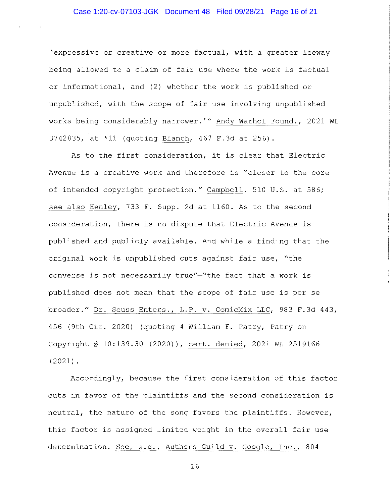## Case 1:20-cv-07103-JGK Document 48 Filed 09/28/21 Page 16 of 21

'expressive or creative or more factual, with a greater leeway being allowed to a claim of fair use where the work is factual or informational, and (2) whether the work is published or unpublished, with the scope of fair use involving unpublished works being considerably narrower.'" Andy Warhol Found., 2021 WL 3742835, at \*11 (quoting Blanch, 467 F.3d at 256).

As to the first consideration, it is clear that Electric Avenue is a creative work and therefore is "closer to the core of intended copyright protection." Campbell, 510 U.S. at 586; see also Henley, 733 F. Supp. 2d at 1160. As to the second consideration, there is no dispute that Electric Avenue is published and publicly available. And while a finding that the original work is unpublished cuts against fair use, "the converse is not necessarily true"-"the fact that a work is published does not mean that the scope of fair use is per se broader." Dr. Seuss Enters., L.P. v. ComicMix LLC, 983 F.3d 443, 456 (9th Cir. 2020) (quoting 4 William F. Patry, Patry on Copyright§ 10:139.30 (2020)), cert. denied, 2021 WL 2519166 (2021).

Accordingly, because the first consideration of this factor cuts in favor of the plaintiffs and the second consideration is neutral, the nature of the song favors the plaintiffs. However, this factor is assigned limited weight in the overall fair use determination. See, e.g., Authors Guild v. Google, Inc., 804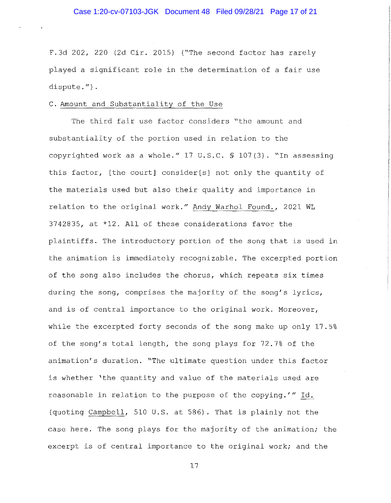F.3d 202, 220 (2d Cir. 2015) ("The second factor has rarely played a significant role in the determination of a fair use dispute. $f$ ).

### C. Amount and Substantiality of the Use

The third fair use factor considers "the amount and substantiality of the portion used in relation to the copyrighted work as a whole."  $17$  U.S.C. § 107(3). "In assessing this factor, [the court] consider[s] not only the quantity of the materials used but also their quality and importance in relation to the original work." Andy Warhol Found., 2021 WL 3742835, at \*12. All of these considerations favor the plaintiffs. The introductory portion of the song that is used in the animation is immediately recognizable. The excerpted portion of the song also includes the chorus, which repeats six times during the song, comprises the majority of the song's lyrics, and is of central importance to the original work. Moreover, while the excerpted forty seconds of the song make up only 17.5% of the song's total length, the song plays for 72.7% of the animation's duration. "The ultimate question under this factor is whether 'the quantity and value of the materials used are reasonable in relation to the purpose of the copying.'" Id. (quoting Campbell, 510 U.S. at 586). That is plainly not the case here. The song plays for the majority of the animation; the excerpt is of central importance to the original work; and the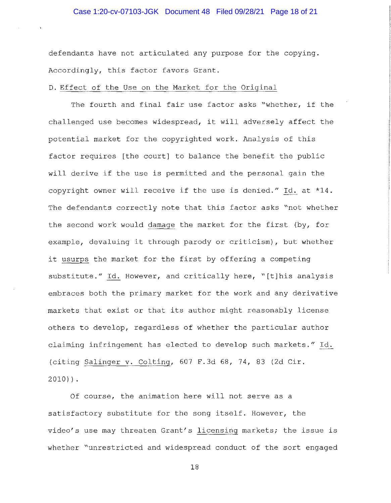## Case 1:20-cv-07103-JGK Document 48 Filed 09/28/21 Page 18 of 21

defendants have not articulated any purpose for the copying. Accordingly, this factor favors Grant.

### D. Effect of the Use on the Market for the Original

The fourth and final fair use factor asks "whether, if the challenged use becomes widespread, it will adversely affect the potential market for the copyrighted work. Analysis of this factor requires [the court] to balance the benefit the public will derive if the use is permitted and the personal gain the copyright owner will receive if the use is denied." Id. at \*14. The defendants correctly note that this factor asks "not whether the second work would damage the market for the first (by, for example, devaluing it through parody or criticism), but whether it usurps the market for the first by offering a competing substitute." Id. However, and critically here, "[t]his analysis embraces both the primary market for the work and any derivative markets that exist or that its author might reasonably license others to develop, regardless of whether the particular author claiming infringement has elected to develop such markets." Id. (citing Salinger v. Colting, 607 F.3d 68, 74, 83 (2d Cir. 2010)).

Of course, the animation here will not serve as a satisfactory substitute for the song itself. However, the video's use may threaten Grant's licensing markets; the issue is whether "unrestricted and widespread conduct of the sort engaged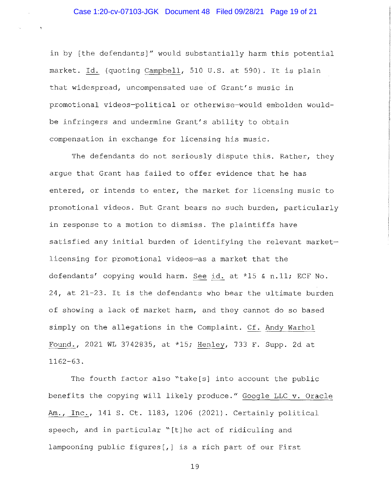in by [the defendants]" would substantially harm this potential market. Id. (quoting Campbell, 510 U.S. at 590). It is plain that widespread, uncompensated use of Grant's music in promotional videos-political or otherwise-would embolden wouldbe infringers and undermine Grant's ability to obtain compensation in exchange for licensing his music.

The defendants do not seriously dispute this. Rather, they argue that Grant has failed to offer evidence that he has entered, or intends to enter, the market for licensing music to promotional videos. But Grant bears no such burden, particularly in response to a motion to dismiss. The plaintiffs have satisfied any initial burden of identifying the relevant marketlicensing for promotional videos-as a market that the defendants' copying would harm. See id. at \*15 & n.11; ECF No. 24, at 21-23. It is the defendants who bear the ultimate burden of showing a lack of market harm, and they cannot do so based simply on the allegations in the Complaint. Cf. Andy Warhol Found., 2021 WL 3742835, at \*15; Henley, 733 F. Supp. 2d at 1162-63.

The fourth factor also "take[s] into account the public benefits the copying will likely produce." Google LLC v. Oracle Am., Inc., 141 S. Ct. 1183, 1206 (2021). Certainly political speech, and in particular "[t]he act of ridiculing and lampooning public figures[,] is a rich part of our First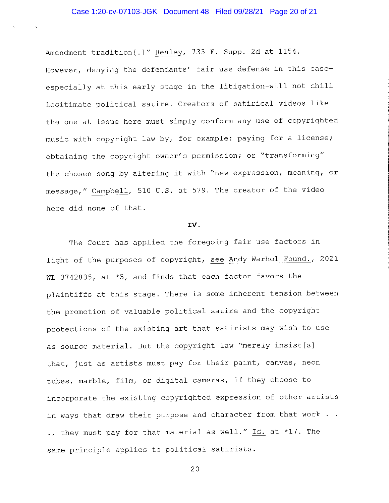Amendment tradition[.]" Henley, 733 F. Supp. 2d at 1154. However, denying the defendants' fair use defense in this caseespecially at this early stage in the litigation-will not chill legitimate political satire. Creators of satirical videos like the one at issue here must simply conform any use of copyrighted music with copyright law by, for example: paying for a license; obtaining the copyright owner's permission; or "transforming" the chosen song by altering it with "new expression, meaning, or message," Campbell, 510 U.S. at 579. The creator of the video here did none of that.

#### IV.

The Court has applied the foregoing fair use factors in light of the purposes of copyright, see Andy Warhol Found., 2021 WL 3742835, at \*5, and finds that each factor favors the plaintiffs at this stage. There is some inherent tension between the promotion of valuable political satire and the copyright protections of the existing art that satirists may wish to use as source material. But the copyright law "merely insist[s] that, just as artists must pay for their paint, canvas, neon tubes, marble, film, or digital cameras, if they choose to incorporate the existing copyrighted expression of other artists in ways that draw their purpose and character from that work  $\ldots$ ., they must pay for that material as well." Id. at \*17. The same principle applies to political satirists.